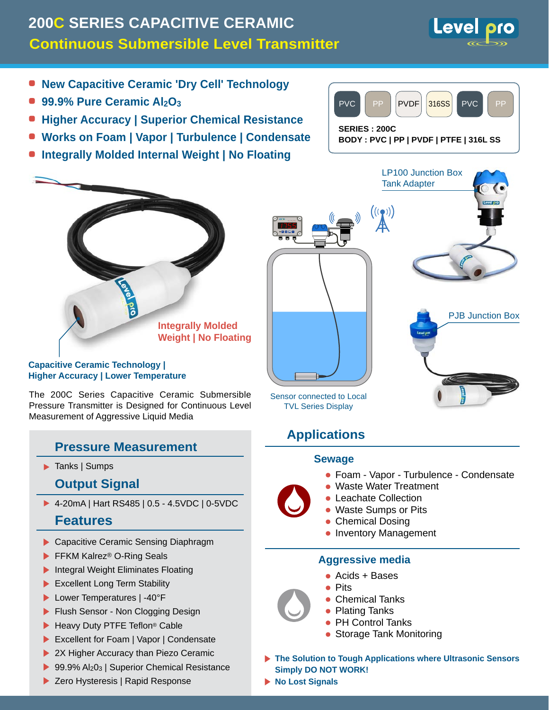# **Continuous Submersible Level Transmitter 200C SERIES CAPACITIVE CERAMIC**



- **99.9% Pure Ceramic Al2O3**
- **Higher Accuracy | Superior Chemical Resistance**
- **Works on Foam | Vapor | Turbulence | Condensate**
- **Integrally Molded Internal Weight | No Floating**



**Integrally Molded Weight | No Floating**

#### **Capacitive Ceramic Technology | Higher Accuracy | Lower Temperature**

The 200C Series Capacitive Ceramic Submersible Pressure Transmitter is Designed for Continuous Level Measurement of Aggressive Liquid Media

### **Pressure Measurement**

▶ Tanks | Sumps

### **Output Signal**

4-20mA | Hart RS485 | 0.5 - 4.5VDC | 0-5VDC

### **Features**

- Capacitive Ceramic Sensing Diaphragm
- ▶ FFKM Kalrez<sup>®</sup> O-Ring Seals
- Integral Weight Eliminates Floating
- Excellent Long Term Stability
- ▶ Lower Temperatures | -40°F
- Flush Sensor Non Clogging Design
- ▶ Heavy Duty PTFE Teflon<sup>®</sup> Cable
- Excellent for Foam | Vapor | Condensate
- 2X Higher Accuracy than Piezo Ceramic
- 99.9%  $Al_2O_3$  | Superior Chemical Resistance
- ▶ Zero Hysteresis | Rapid Response



## **Applications**

#### **Sewage**

- Foam Vapor Turbulence Condensate
- Waste Water Treatment
- **Leachate Collection**
- Waste Sumps or Pits
- Chemical Dosing
- **Inventory Management**

#### **Aggressive media**

- Acids + Bases •
- $\bullet$  Pits
- Chemical Tanks
- Plating Tanks
- PH Control Tanks
- Storage Tank Monitoring
- **The Solution to Tough Applications where Ultrasonic Sensors Simply DO NOT WORK!**
- **No Lost Signals**



**Level**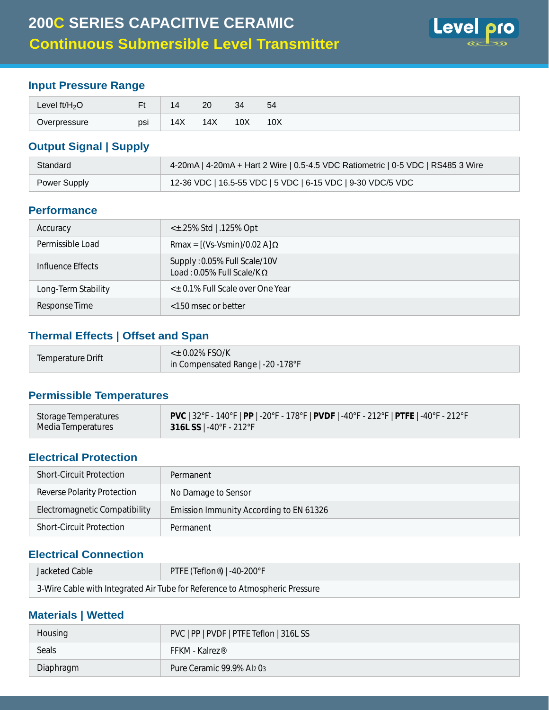

### **Input Pressure Range**

| Level $ft/H2O$ | E+  |                  | ററ<br>$\sim$ | $\Omega$<br>ູບ. | 54  |
|----------------|-----|------------------|--------------|-----------------|-----|
| Overpressure   | psi | $\lambda$<br>14X | 14X          | 10 <sub>X</sub> | 10X |

### **Output Signal | Supply**

| Standard     | 4-20mA   4-20mA + Hart 2 Wire   0.5-4.5 VDC Ratiometric   0-5 VDC   RS485 3 Wire |
|--------------|----------------------------------------------------------------------------------|
| Power Supply | 12-36 VDC   16.5-55 VDC   5 VDC   6-15 VDC   9-30 VDC/5 VDC                      |

#### **Performance**

| Accuracy            | $\lt$ ±.25% Std   .125% Opt                                       |
|---------------------|-------------------------------------------------------------------|
| Permissible Load    | Rmax = $[(Vs-Vsmin)/0.02 A]$ $\Omega$                             |
| Influence Effects   | Supply: 0.05% Full Scale/10V<br>Load: 0.05% Full Scale/K $\Omega$ |
| Long-Term Stability | < $\pm$ 0.1% Full Scale over One Year                             |
| Response Time       | <150 msec or better                                               |

#### **Thermal Effects | Offset and Span**

| Temperature Drift | $<$ ± 0.02% FSO/K<br>in Compensated Range   -20 -178°F |
|-------------------|--------------------------------------------------------|
|                   |                                                        |

#### **Permissible Temperatures**

| Storage Temperatures | $\sqrt{PVC}$   32°F - 140°F   PP   -20°F - 178°F   PVDF   -40°F - 212°F   PTFE   -40°F - 212°F |
|----------------------|------------------------------------------------------------------------------------------------|
| Media Temperatures   | 316L SS $\mid$ -40°F - 212°F                                                                   |

#### **Electrical Protection**

| <b>Short-Circuit Protection</b> | Permanent                               |
|---------------------------------|-----------------------------------------|
| Reverse Polarity Protection     | No Damage to Sensor                     |
| Electromagnetic Compatibility   | Emission Immunity According to EN 61326 |
| <b>Short-Circuit Protection</b> | Permanent                               |

### **Electrical Connection**

| Jacketed Cable | PTFE (Teflon®)   -40-200°F                                                  |
|----------------|-----------------------------------------------------------------------------|
|                | 3-Wire Cable with Integrated Air Tube for Reference to Atmospheric Pressure |

### **Materials | Wetted**

| Housing   | PVC   PP   PVDF   PTFE Teflon   316L SS |
|-----------|-----------------------------------------|
| Seals     | $FFKM - Kalrez^{\otimes}$               |
| Diaphragm | Pure Ceramic 99.9% Al203                |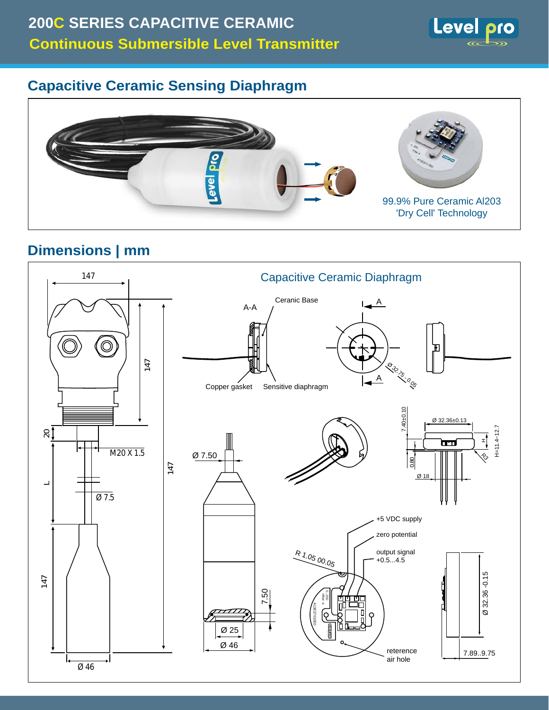

# **Capacitive Ceramic Sensing Diaphragm**



# **Dimensions | mm**